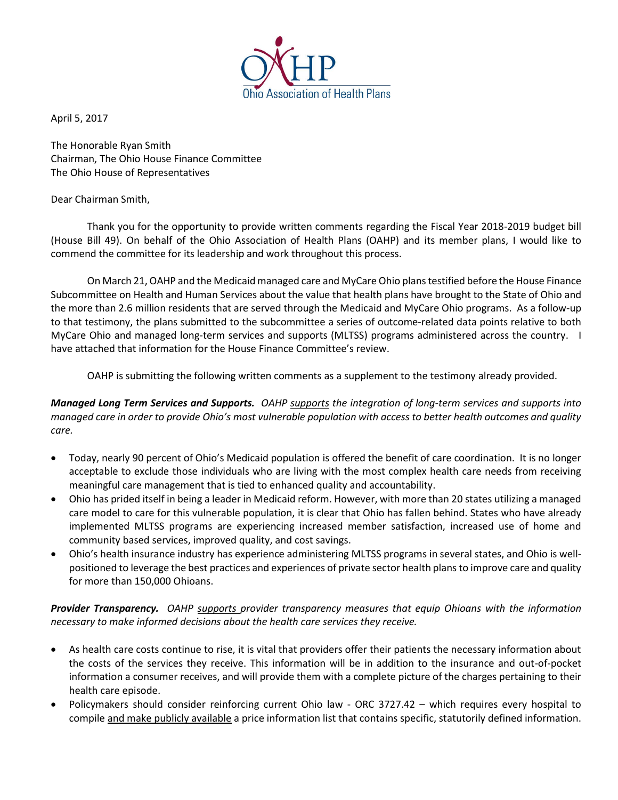

April 5, 2017

The Honorable Ryan Smith Chairman, The Ohio House Finance Committee The Ohio House of Representatives

## Dear Chairman Smith,

Thank you for the opportunity to provide written comments regarding the Fiscal Year 2018-2019 budget bill (House Bill 49). On behalf of the Ohio Association of Health Plans (OAHP) and its member plans, I would like to commend the committee for its leadership and work throughout this process.

On March 21, OAHP and the Medicaid managed care and MyCare Ohio plans testified before the House Finance Subcommittee on Health and Human Services about the value that health plans have brought to the State of Ohio and the more than 2.6 million residents that are served through the Medicaid and MyCare Ohio programs. As a follow-up to that testimony, the plans submitted to the subcommittee a series of outcome-related data points relative to both MyCare Ohio and managed long-term services and supports (MLTSS) programs administered across the country. I have attached that information for the House Finance Committee's review.

OAHP is submitting the following written comments as a supplement to the testimony already provided.

*Managed Long Term Services and Supports. OAHP supports the integration of long-term services and supports into managed care in order to provide Ohio's most vulnerable population with access to better health outcomes and quality care.* 

- Today, nearly 90 percent of Ohio's Medicaid population is offered the benefit of care coordination. It is no longer acceptable to exclude those individuals who are living with the most complex health care needs from receiving meaningful care management that is tied to enhanced quality and accountability.
- Ohio has prided itself in being a leader in Medicaid reform. However, with more than 20 states utilizing a managed care model to care for this vulnerable population, it is clear that Ohio has fallen behind. States who have already implemented MLTSS programs are experiencing increased member satisfaction, increased use of home and community based services, improved quality, and cost savings.
- Ohio's health insurance industry has experience administering MLTSS programs in several states, and Ohio is wellpositioned to leverage the best practices and experiences of private sector health plans to improve care and quality for more than 150,000 Ohioans.

*Provider Transparency. OAHP supports provider transparency measures that equip Ohioans with the information necessary to make informed decisions about the health care services they receive.*

- As health care costs continue to rise, it is vital that providers offer their patients the necessary information about the costs of the services they receive. This information will be in addition to the insurance and out-of-pocket information a consumer receives, and will provide them with a complete picture of the charges pertaining to their health care episode.
- Policymakers should consider reinforcing current Ohio law ORC 3727.42 which requires every hospital to compile and make publicly available a price information list that contains specific, statutorily defined information.